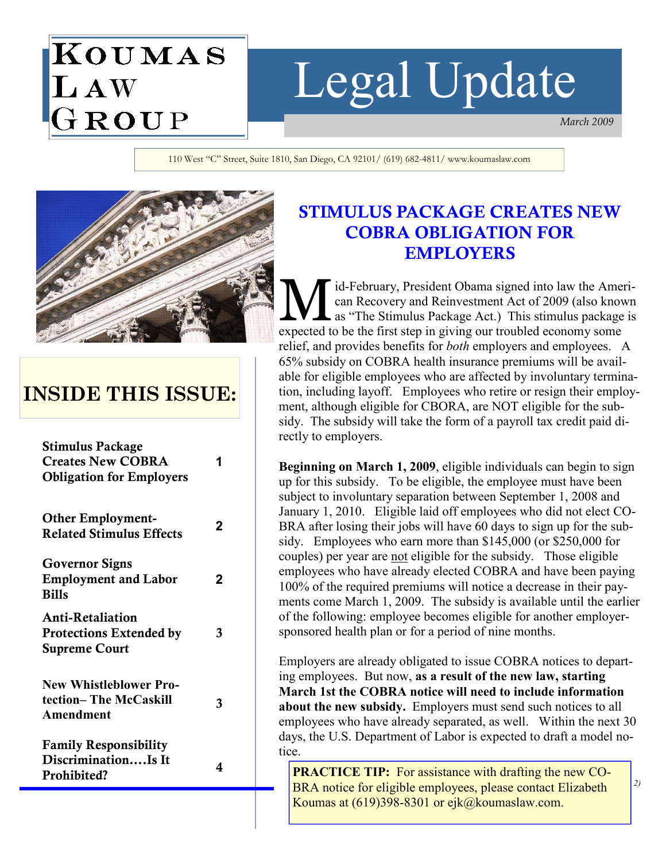# Legal Update

March 2009

110 West "C" Street, Suite 1810, San Diego, CA 92101/ (619) 682-4811/ www.koumaslaw.com



 ${\bf K}$ oumas

LAW<br>GROUP

# INSIDE THIS ISSUE:

| <b>Stimulus Package</b><br><b>Creates New COBRA</b><br><b>Obligation for Employers</b> | 1 |
|----------------------------------------------------------------------------------------|---|
| <b>Other Employment-</b><br><b>Related Stimulus Effects</b>                            | 2 |
| <b>Governor Signs</b><br><b>Employment and Labor</b><br><b>Bills</b>                   | 2 |
| <b>Anti-Retaliation</b><br><b>Protections Extended by</b><br><b>Supreme Court</b>      | 3 |
| <b>New Whistleblower Pro-</b><br>tection-The McCaskill<br>Amendment                    | 3 |
| <b>Family Responsibility</b><br>DiscriminationIs It<br>Prohibited?                     | 4 |

## STIMULUS PACKAGE CREATES NEW COBRA OBLIGATION FOR EMPLOYERS

Id-February, President Obama signed into law the American Recovery and Reinvestment Act of 2009 (also known<br>as "The Stimulus Package Act.) This stimulus package is can Recovery and Reinvestment Act of 2009 (also known as "The Stimulus Package Act.) This stimulus package is expected to be the first step in giving our troubled economy some relief, and provides benefits for both employers and employees. A 65% subsidy on COBRA health insurance premiums will be available for eligible employees who are affected by involuntary termination, including layoff. Employees who retire or resign their employment, although eligible for CBORA, are NOT eligible for the subsidy. The subsidy will take the form of a payroll tax credit paid directly to employers.

Beginning on March 1, 2009, eligible individuals can begin to sign up for this subsidy. To be eligible, the employee must have been subject to involuntary separation between September 1, 2008 and January 1, 2010. Eligible laid off employees who did not elect CO-BRA after losing their jobs will have 60 days to sign up for the subsidy. Employees who earn more than \$145,000 (or \$250,000 for couples) per year are not eligible for the subsidy. Those eligible employees who have already elected COBRA and have been paying 100% of the required premiums will notice a decrease in their payments come March 1, 2009. The subsidy is available until the earlier of the following: employee becomes eligible for another employersponsored health plan or for a period of nine months.

Employers are already obligated to issue COBRA notices to departing employees. But now, as a result of the new law, starting March 1st the COBRA notice will need to include information about the new subsidy. Employers must send such notices to all employees who have already separated, as well. Within the next 30 days, the U.S. Department of Labor is expected to draft a model notice.

BRA notice for eligible employees, please contact Elizabeth  $\begin{bmatrix} 2 \end{bmatrix}$ **PRACTICE TIP:** For assistance with drafting the new CO-Koumas at (619)398-8301 or ejk@koumaslaw.com.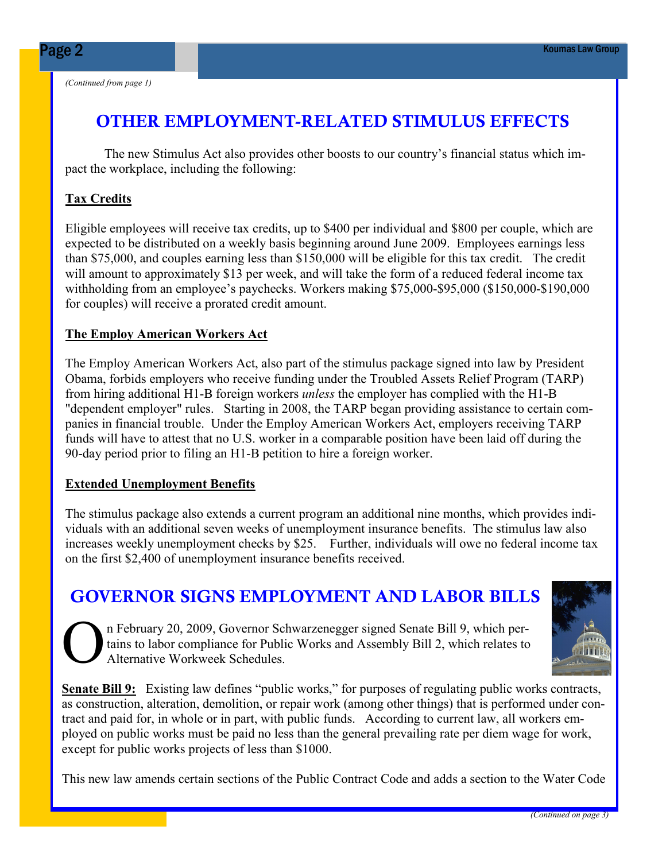(Continued from page 1)

### OTHER EMPLOYMENT-RELATED STIMULUS EFFECTS

 The new Stimulus Act also provides other boosts to our country's financial status which impact the workplace, including the following:

### Tax Credits

Eligible employees will receive tax credits, up to \$400 per individual and \$800 per couple, which are expected to be distributed on a weekly basis beginning around June 2009. Employees earnings less than \$75,000, and couples earning less than \$150,000 will be eligible for this tax credit. The credit will amount to approximately \$13 per week, and will take the form of a reduced federal income tax withholding from an employee's paychecks. Workers making \$75,000-\$95,000 (\$150,000-\$190,000) for couples) will receive a prorated credit amount.

### The Employ American Workers Act

The Employ American Workers Act, also part of the stimulus package signed into law by President Obama, forbids employers who receive funding under the Troubled Assets Relief Program (TARP) from hiring additional H1-B foreign workers unless the employer has complied with the H1-B "dependent employer" rules. Starting in 2008, the TARP began providing assistance to certain companies in financial trouble. Under the Employ American Workers Act, employers receiving TARP funds will have to attest that no U.S. worker in a comparable position have been laid off during the 90-day period prior to filing an H1-B petition to hire a foreign worker.

### Extended Unemployment Benefits

The stimulus package also extends a current program an additional nine months, which provides individuals with an additional seven weeks of unemployment insurance benefits. The stimulus law also increases weekly unemployment checks by \$25. Further, individuals will owe no federal income tax on the first \$2,400 of unemployment insurance benefits received.

### GOVERNOR SIGNS EMPLOYMENT AND LABOR BILLS

THE

On February 20, 2009, Governor Schwarzenegger signed Senate Bill 9, which per-<br>tains to labor compliance for Public Works and Assembly Bill 2, which relates to<br>Alternative Workweek Schedules. tains to labor compliance for Public Works and Assembly Bill 2, which relates to Alternative Workweek Schedules.

Senate Bill 9: Existing law defines "public works," for purposes of regulating public works contracts, as construction, alteration, demolition, or repair work (among other things) that is performed under contract and paid for, in whole or in part, with public funds. According to current law, all workers employed on public works must be paid no less than the general prevailing rate per diem wage for work, except for public works projects of less than \$1000.

This new law amends certain sections of the Public Contract Code and adds a section to the Water Code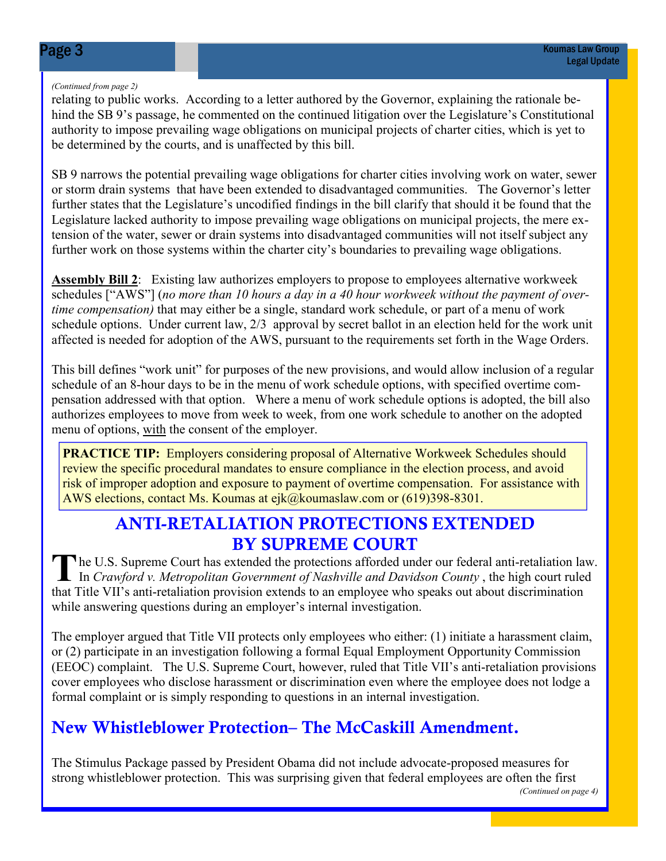### (Continued from page 2)

relating to public works. According to a letter authored by the Governor, explaining the rationale behind the SB 9's passage, he commented on the continued litigation over the Legislature's Constitutional authority to impose prevailing wage obligations on municipal projects of charter cities, which is yet to be determined by the courts, and is unaffected by this bill.

SB 9 narrows the potential prevailing wage obligations for charter cities involving work on water, sewer or storm drain systems that have been extended to disadvantaged communities. The Governor's letter further states that the Legislature's uncodified findings in the bill clarify that should it be found that the Legislature lacked authority to impose prevailing wage obligations on municipal projects, the mere extension of the water, sewer or drain systems into disadvantaged communities will not itself subject any further work on those systems within the charter city's boundaries to prevailing wage obligations.

**Assembly Bill 2:** Existing law authorizes employers to propose to employees alternative workweek schedules ["AWS"] (no more than 10 hours a day in a 40 hour workweek without the payment of overtime compensation) that may either be a single, standard work schedule, or part of a menu of work schedule options. Under current law, 2/3 approval by secret ballot in an election held for the work unit affected is needed for adoption of the AWS, pursuant to the requirements set forth in the Wage Orders.

This bill defines "work unit" for purposes of the new provisions, and would allow inclusion of a regular schedule of an 8-hour days to be in the menu of work schedule options, with specified overtime compensation addressed with that option. Where a menu of work schedule options is adopted, the bill also authorizes employees to move from week to week, from one work schedule to another on the adopted menu of options, with the consent of the employer.

**PRACTICE TIP:** Employers considering proposal of Alternative Workweek Schedules should review the specific procedural mandates to ensure compliance in the election process, and avoid risk of improper adoption and exposure to payment of overtime compensation. For assistance with AWS elections, contact Ms. Koumas at ejk@koumaslaw.com or (619)398-8301.

### ANTI-RETALIATION PROTECTIONS EXTENDED BY SUPREME COURT

The U.S. Supreme Court has extended the protections afforded under our federal anti-retaliation law.<br>In Crawford v. Metropolitan Government of Nashville and Davidson County, the high court ruled<br>that Title MII's article th that Title VII's anti-retaliation provision extends to an employee who speaks out about discrimination while answering questions during an employer's internal investigation.

The employer argued that Title VII protects only employees who either: (1) initiate a harassment claim, or (2) participate in an investigation following a formal Equal Employment Opportunity Commission (EEOC) complaint. The U.S. Supreme Court, however, ruled that Title VII's anti-retaliation provisions cover employees who disclose harassment or discrimination even where the employee does not lodge a formal complaint or is simply responding to questions in an internal investigation.

# New Whistleblower Protection– The McCaskill Amendment.

The Stimulus Package passed by President Obama did not include advocate-proposed measures for strong whistleblower protection. This was surprising given that federal employees are often the first